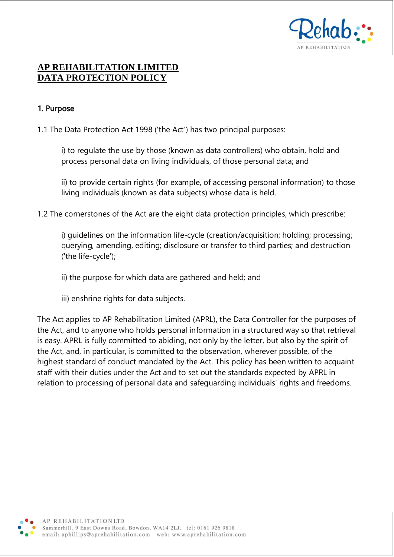

# **AP REHABILITATION LIMITED DATA PROTECTION POLICY**

#### 1. Purpose

1.1 The Data Protection Act 1998 ('the Act') has two principal purposes:

i) to regulate the use by those (known as data controllers) who obtain, hold and process personal data on living individuals, of those personal data; and

ii) to provide certain rights (for example, of accessing personal information) to those living individuals (known as data subjects) whose data is held.

1.2 The cornerstones of the Act are the eight data protection principles, which prescribe:

i) guidelines on the information life-cycle (creation/acquisition; holding; processing; querying, amending, editing; disclosure or transfer to third parties; and destruction ('the life-cycle');

ii) the purpose for which data are gathered and held; and

iii) enshrine rights for data subjects.

The Act applies to AP Rehabilitation Limited (APRL), the Data Controller for the purposes of the Act, and to anyone who holds personal information in a structured way so that retrieval is easy. APRL is fully committed to abiding, not only by the letter, but also by the spirit of the Act, and, in particular, is committed to the observation, wherever possible, of the highest standard of conduct mandated by the Act. This policy has been written to acquaint staff with their duties under the Act and to set out the standards expected by APRL in relation to processing of personal data and safeguarding individuals' rights and freedoms.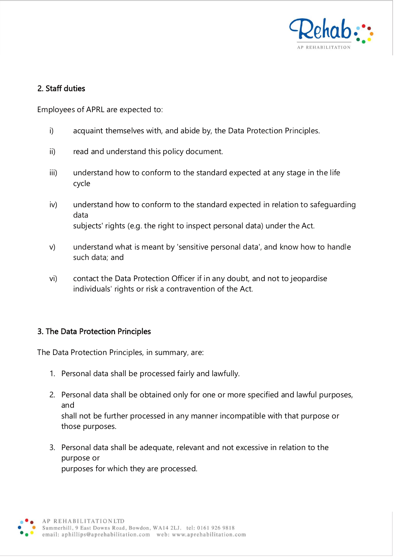

### 2. Staff duties

Employees of APRL are expected to:

- i) acquaint themselves with, and abide by, the Data Protection Principles.
- ii) read and understand this policy document.
- iii) understand how to conform to the standard expected at any stage in the life cycle
- iv) understand how to conform to the standard expected in relation to safeguarding data subjects' rights (e.g. the right to inspect personal data) under the Act.
- v) understand what is meant by 'sensitive personal data', and know how to handle such data; and
- vi) contact the Data Protection Officer if in any doubt, and not to jeopardise individuals' rights or risk a contravention of the Act.

#### 3. The Data Protection Principles

The Data Protection Principles, in summary, are:

- 1. Personal data shall be processed fairly and lawfully.
- 2. Personal data shall be obtained only for one or more specified and lawful purposes, and shall not be further processed in any manner incompatible with that purpose or those purposes.
- 3. Personal data shall be adequate, relevant and not excessive in relation to the purpose or purposes for which they are processed.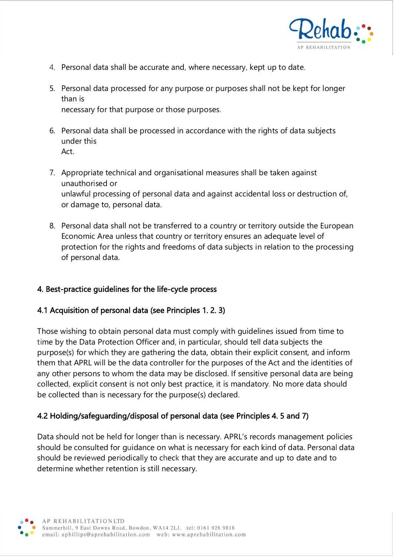

- 4. Personal data shall be accurate and, where necessary, kept up to date.
- 5. Personal data processed for any purpose or purposes shall not be kept for longer than is necessary for that purpose or those purposes.
- 6. Personal data shall be processed in accordance with the rights of data subjects under this Act.
- 7. Appropriate technical and organisational measures shall be taken against unauthorised or unlawful processing of personal data and against accidental loss or destruction of, or damage to, personal data.
- 8. Personal data shall not be transferred to a country or territory outside the European Economic Area unless that country or territory ensures an adequate level of protection for the rights and freedoms of data subjects in relation to the processing of personal data.

#### 4. Best-practice guidelines for the life-cycle process

#### 4.1 Acquisition of personal data (see Principles 1. 2. 3)

Those wishing to obtain personal data must comply with guidelines issued from time to time by the Data Protection Officer and, in particular, should tell data subjects the purpose(s) for which they are gathering the data, obtain their explicit consent, and inform them that APRL will be the data controller for the purposes of the Act and the identities of any other persons to whom the data may be disclosed. If sensitive personal data are being collected, explicit consent is not only best practice, it is mandatory. No more data should be collected than is necessary for the purpose(s) declared.

# 4.2 Holding/safeguarding/disposal of personal data (see Principles 4. 5 and 7)

Data should not be held for longer than is necessary. APRL's records management policies should be consulted for guidance on what is necessary for each kind of data. Personal data should be reviewed periodically to check that they are accurate and up to date and to determine whether retention is still necessary.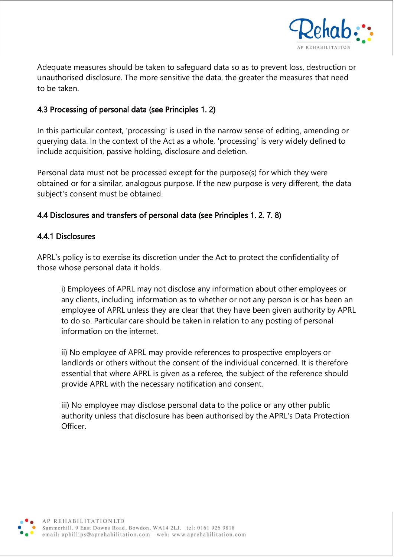

Adequate measures should be taken to safeguard data so as to prevent loss, destruction or unauthorised disclosure. The more sensitive the data, the greater the measures that need to be taken.

# 4.3 Processing of personal data (see Principles 1. 2)

In this particular context, 'processing' is used in the narrow sense of editing, amending or querying data. In the context of the Act as a whole, 'processing' is very widely defined to include acquisition, passive holding, disclosure and deletion.

Personal data must not be processed except for the purpose(s) for which they were obtained or for a similar, analogous purpose. If the new purpose is very different, the data subject's consent must be obtained.

### 4.4 Disclosures and transfers of personal data (see Principles 1. 2. 7. 8)

#### 4.4.1 Disclosures

APRL's policy is to exercise its discretion under the Act to protect the confidentiality of those whose personal data it holds.

i) Employees of APRL may not disclose any information about other employees or any clients, including information as to whether or not any person is or has been an employee of APRL unless they are clear that they have been given authority by APRL to do so. Particular care should be taken in relation to any posting of personal information on the internet.

ii) No employee of APRL may provide references to prospective employers or landlords or others without the consent of the individual concerned. It is therefore essential that where APRL is given as a referee, the subject of the reference should provide APRL with the necessary notification and consent.

iii) No employee may disclose personal data to the police or any other public authority unless that disclosure has been authorised by the APRL's Data Protection Officer.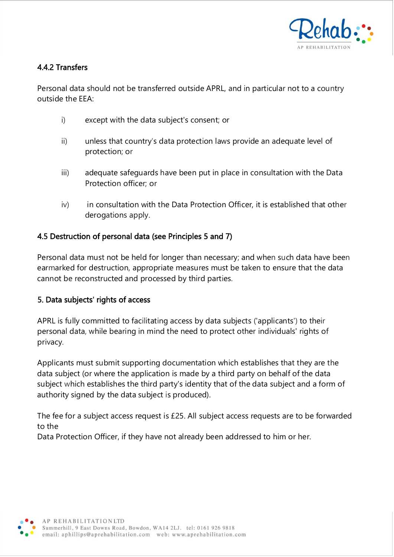

# 4.4.2 Transfers

Personal data should not be transferred outside APRL, and in particular not to a country outside the EEA:

- i) except with the data subject's consent; or
- ii) unless that country's data protection laws provide an adequate level of protection; or
- iii) adequate safeguards have been put in place in consultation with the Data Protection officer; or
- iv) in consultation with the Data Protection Officer, it is established that other derogations apply.

# 4.5 Destruction of personal data (see Principles 5 and 7)

Personal data must not be held for longer than necessary; and when such data have been earmarked for destruction, appropriate measures must be taken to ensure that the data cannot be reconstructed and processed by third parties.

# 5. Data subjects' rights of access

APRL is fully committed to facilitating access by data subjects ('applicants') to their personal data, while bearing in mind the need to protect other individuals' rights of privacy.

Applicants must submit supporting documentation which establishes that they are the data subject (or where the application is made by a third party on behalf of the data subject which establishes the third party's identity that of the data subject and a form of authority signed by the data subject is produced).

The fee for a subject access request is £25. All subject access requests are to be forwarded to the

Data Protection Officer, if they have not already been addressed to him or her.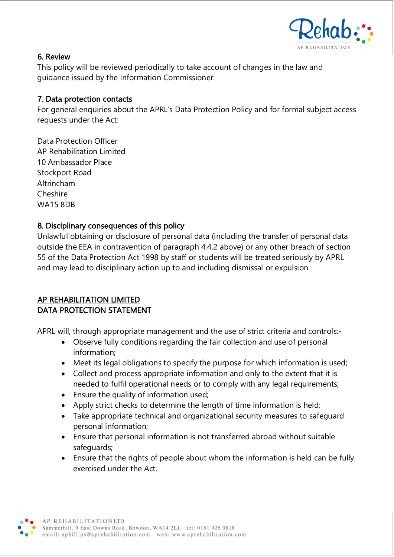

#### 6. Review

This policy will be reviewed periodically to take account of changes in the law and guidance issued by the Information Commissioner.

### 7. Data protection contacts

For general enquiries about the APRL's Data Protection Policy and for formal subject access requests under the Act:

Data Protection Officer AP Rehabilitation Limited 10 Ambassador Place Stockport Road Altrincham Cheshire WA15 8DB

# 8. Disciplinary consequences of this policy

Unlawful obtaining or disclosure of personal data (including the transfer of personal data outside the EEA in contravention of paragraph 4.4.2 above) or any other breach of section 55 of the Data Protection Act 1998 by staff or students will be treated seriously by APRL and may lead to disciplinary action up to and including dismissal or expulsion.

#### AP REHABILITATION LIMITED DATA PROTECTION STATEMENT

APRL will, through appropriate management and the use of strict criteria and controls:-

- Observe fully conditions regarding the fair collection and use of personal information;
- Meet its legal obligations to specify the purpose for which information is used;
- Collect and process appropriate information and only to the extent that it is needed to fulfil operational needs or to comply with any legal requirements;
- Ensure the quality of information used;
- Apply strict checks to determine the length of time information is held;
- Take appropriate technical and organizational security measures to safeguard personal information;
- Ensure that personal information is not transferred abroad without suitable safeguards;
- Ensure that the rights of people about whom the information is held can be fully exercised under the Act.